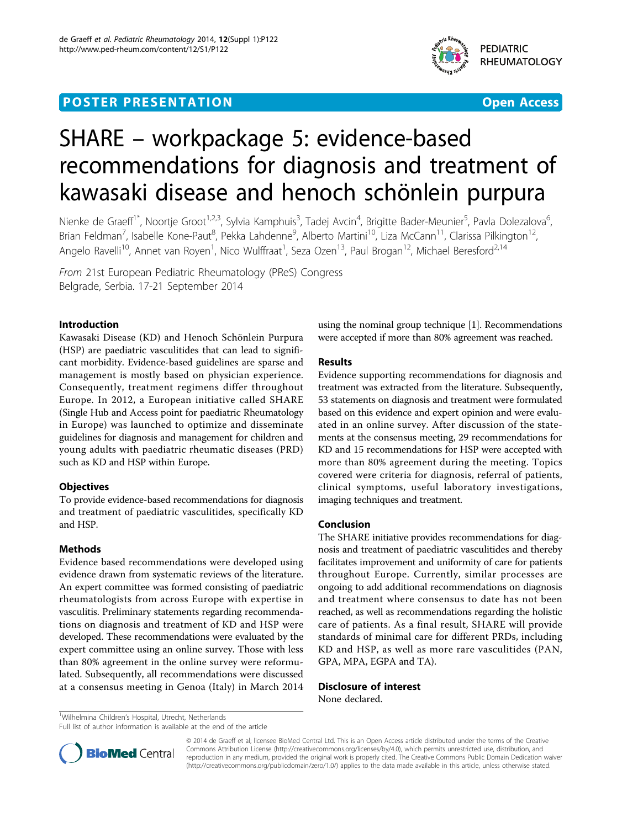## **POSTER PRESENTATION CONSUMING THE SERVICE SERVICE SERVICES**



# SHARE – workpackage 5: evidence-based recommendations for diagnosis and treatment of kawasaki disease and henoch schönlein purpura

Nienke de Graeff<sup>1\*</sup>, Noortje Groot<sup>1,2,3</sup>, Sylvia Kamphuis<sup>3</sup>, Tadej Avcin<sup>4</sup>, Brigitte Bader-Meunier<sup>5</sup>, Pavla Dolezalova<sup>6</sup> י<br>, Brian Feldman<sup>7</sup>, Isabelle Kone-Paut<sup>8</sup>, Pekka Lahdenne<sup>9</sup>, Alberto Martini<sup>10</sup>, Liza McCann<sup>11</sup>, Clarissa Pilkington<sup>12</sup>, Angelo Ravelli<sup>10</sup>, Annet van Royen<sup>1</sup>, Nico Wulffraat<sup>1</sup>, Seza Ozen<sup>13</sup>, Paul Brogan<sup>12</sup>, Michael Beresford<sup>2,14</sup>

From 21st European Pediatric Rheumatology (PReS) Congress Belgrade, Serbia. 17-21 September 2014

## Introduction

Kawasaki Disease (KD) and Henoch Schönlein Purpura (HSP) are paediatric vasculitides that can lead to significant morbidity. Evidence-based guidelines are sparse and management is mostly based on physician experience. Consequently, treatment regimens differ throughout Europe. In 2012, a European initiative called SHARE (Single Hub and Access point for paediatric Rheumatology in Europe) was launched to optimize and disseminate guidelines for diagnosis and management for children and young adults with paediatric rheumatic diseases (PRD) such as KD and HSP within Europe.

## **Objectives**

To provide evidence-based recommendations for diagnosis and treatment of paediatric vasculitides, specifically KD and HSP.

## Methods

Evidence based recommendations were developed using evidence drawn from systematic reviews of the literature. An expert committee was formed consisting of paediatric rheumatologists from across Europe with expertise in vasculitis. Preliminary statements regarding recommendations on diagnosis and treatment of KD and HSP were developed. These recommendations were evaluated by the expert committee using an online survey. Those with less than 80% agreement in the online survey were reformulated. Subsequently, all recommendations were discussed at a consensus meeting in Genoa (Italy) in March 2014

using the nominal group technique [[1](#page-1-0)]. Recommendations were accepted if more than 80% agreement was reached.

## Results

Evidence supporting recommendations for diagnosis and treatment was extracted from the literature. Subsequently, 53 statements on diagnosis and treatment were formulated based on this evidence and expert opinion and were evaluated in an online survey. After discussion of the statements at the consensus meeting, 29 recommendations for KD and 15 recommendations for HSP were accepted with more than 80% agreement during the meeting. Topics covered were criteria for diagnosis, referral of patients, clinical symptoms, useful laboratory investigations, imaging techniques and treatment.

## Conclusion

The SHARE initiative provides recommendations for diagnosis and treatment of paediatric vasculitides and thereby facilitates improvement and uniformity of care for patients throughout Europe. Currently, similar processes are ongoing to add additional recommendations on diagnosis and treatment where consensus to date has not been reached, as well as recommendations regarding the holistic care of patients. As a final result, SHARE will provide standards of minimal care for different PRDs, including KD and HSP, as well as more rare vasculitides (PAN, GPA, MPA, EGPA and TA).

Disclosure of interest None declared.

<sup>1</sup>Wilhelmina Children's Hospital, Utrecht, Netherlands

Full list of author information is available at the end of the article



© 2014 de Graeff et al; licensee BioMed Central Ltd. This is an Open Access article distributed under the terms of the Creative Commons Attribution License [\(http://creativecommons.org/licenses/by/4.0](http://creativecommons.org/licenses/by/4.0)), which permits unrestricted use, distribution, and reproduction in any medium, provided the original work is properly cited. The Creative Commons Public Domain Dedication waiver [\(http://creativecommons.org/publicdomain/zero/1.0/](http://creativecommons.org/publicdomain/zero/1.0/)) applies to the data made available in this article, unless otherwise stated.